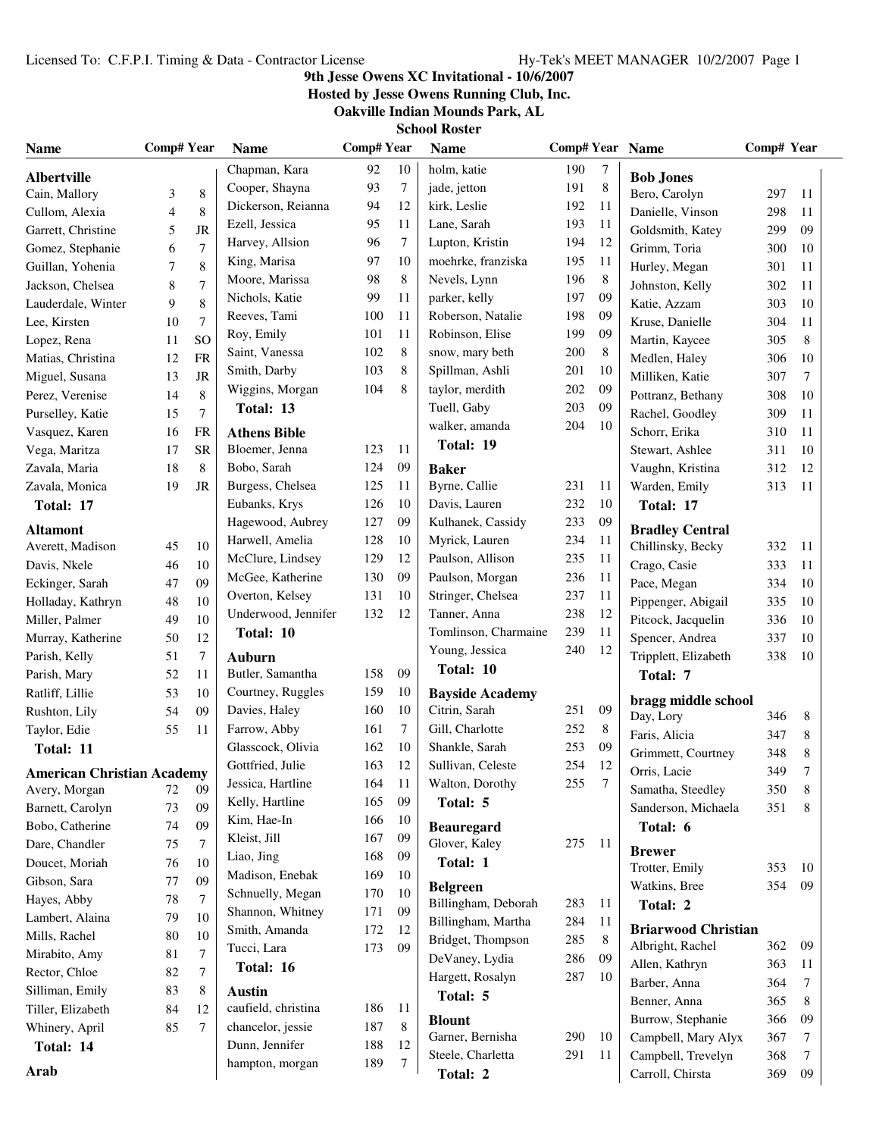# **9th Jesse Owens XC Invitational - 10/6/2007**

**Hosted by Jesse Owens Running Club, Inc.**

**Oakville Indian Mounds Park, AL School Roster**

|  | School Koster |  |
|--|---------------|--|
|  |               |  |

| <b>Name</b>                         | <b>Comp# Year</b> |                | <b>Name</b>                | <b>Comp#Year</b> |    | <b>Name</b>                             | Comp# Year Name |         |                                             | Comp# Year |        |  |
|-------------------------------------|-------------------|----------------|----------------------------|------------------|----|-----------------------------------------|-----------------|---------|---------------------------------------------|------------|--------|--|
| <b>Albertville</b>                  |                   |                | Chapman, Kara              | 92               | 10 | holm, katie                             | 190             | 7       | <b>Bob Jones</b>                            |            |        |  |
| Cain, Mallory                       | 3                 | $\,$ 8 $\,$    | Cooper, Shayna             | 93               | 7  | jade, jetton                            | 191             | $\,8\,$ | Bero, Carolyn                               | 297        | 11     |  |
| Cullom, Alexia                      | 4                 | 8              | Dickerson, Reianna         | 94               | 12 | kirk, Leslie                            | 192             | 11      | Danielle, Vinson                            | 298        | 11     |  |
| Garrett, Christine                  | 5                 | JR             | Ezell, Jessica             | 95               | 11 | Lane, Sarah                             | 193             | 11      | Goldsmith, Katey                            | 299        | 09     |  |
| Gomez, Stephanie                    | 6                 | 7              | Harvey, Allsion            | 96               | 7  | Lupton, Kristin                         | 194             | 12      | Grimm, Toria                                | 300        | 10     |  |
| Guillan, Yohenia                    | 7                 | 8              | King, Marisa               | 97               | 10 | moehrke, franziska                      | 195             | 11      | Hurley, Megan                               | 301        | 11     |  |
| Jackson, Chelsea                    | 8                 | 7              | Moore, Marissa             | 98               | 8  | Nevels, Lynn                            | 196             | 8       | Johnston, Kelly                             | 302        | 11     |  |
| Lauderdale, Winter                  | 9                 | $\,$ 8 $\,$    | Nichols, Katie             | 99               | 11 | parker, kelly                           | 197             | 09      | Katie, Azzam                                | 303        | 10     |  |
| Lee, Kirsten                        | 10                | 7              | Reeves, Tami               | 100              | 11 | Roberson, Natalie                       | 198             | 09      | Kruse, Danielle                             | 304        | 11     |  |
| Lopez, Rena                         | 11                | <sub>SO</sub>  | Roy, Emily                 | 101              | 11 | Robinson, Elise                         | 199             | 09      | Martin, Kaycee                              | 305        | 8      |  |
| Matias, Christina                   | 12                | <b>FR</b>      | Saint, Vanessa             | 102              | 8  | snow, mary beth                         | 200             | 8       | Medlen, Haley                               | 306        | 10     |  |
| Miguel, Susana                      | 13                | JR             | Smith, Darby               | 103              | 8  | Spillman, Ashli                         | 201             | 10      | Milliken, Katie                             | 307        | 7      |  |
| Perez, Verenise                     | 14                | $\,$ 8 $\,$    | Wiggins, Morgan            | 104              | 8  | taylor, merdith                         | 202             | 09      | Pottranz, Bethany                           | 308        | 10     |  |
| Purselley, Katie                    | 15                | $\overline{7}$ | Total: 13                  |                  |    | Tuell, Gaby                             | 203             | 09      | Rachel, Goodley                             | 309        | 11     |  |
| Vasquez, Karen                      | 16                | <b>FR</b>      | <b>Athens Bible</b>        |                  |    | walker, amanda                          | 204             | 10      | Schorr, Erika                               | 310        | 11     |  |
| Vega, Maritza                       | 17                | <b>SR</b>      | Bloemer, Jenna             | 123              | 11 | Total: 19                               |                 |         | Stewart, Ashlee                             | 311        | 10     |  |
| Zavala, Maria                       | 18                | $\,$ 8 $\,$    | Bobo, Sarah                | 124              | 09 | <b>Baker</b>                            |                 |         | Vaughn, Kristina                            | 312        | 12     |  |
| Zavala, Monica                      | 19                | JR             | Burgess, Chelsea           | 125              | 11 | Byrne, Callie                           | 231             | 11      | Warden, Emily                               | 313        | 11     |  |
| Total: 17                           |                   |                | Eubanks, Krys              | 126              | 10 | Davis, Lauren                           | 232             | 10      | Total: 17                                   |            |        |  |
|                                     |                   |                | Hagewood, Aubrey           | 127              | 09 | Kulhanek, Cassidy                       | 233             | 09      |                                             |            |        |  |
| <b>Altamont</b><br>Averett, Madison | 45                | 10             | Harwell, Amelia            | 128              | 10 | Myrick, Lauren                          | 234             | 11      | <b>Bradley Central</b><br>Chillinsky, Becky | 332        |        |  |
|                                     |                   |                | McClure, Lindsey           | 129              | 12 | Paulson, Allison                        | 235             | 11      |                                             |            | -11    |  |
| Davis, Nkele                        | 46                | 10             | McGee, Katherine           | 130              | 09 | Paulson, Morgan                         | 236             | 11      | Crago, Casie                                | 333        | 11     |  |
| Eckinger, Sarah                     | 47                | 09             | Overton, Kelsey            | 131              | 10 | Stringer, Chelsea                       | 237             | 11      | Pace, Megan                                 | 334        | 10     |  |
| Holladay, Kathryn                   | 48                | 10<br>10       | Underwood, Jennifer        | 132              | 12 | Tanner, Anna                            | 238             | 12      | Pippenger, Abigail                          | 335        | 10     |  |
| Miller, Palmer                      | 49                |                | Total: 10                  |                  |    | Tomlinson, Charmaine                    | 239             | 11      | Pitcock, Jacquelin                          | 336        | 10     |  |
| Murray, Katherine                   | 50                | 12             |                            |                  |    | Young, Jessica                          | 240             | 12      | Spencer, Andrea                             | 337        | 10     |  |
| Parish, Kelly                       | 51                | 7              | Auburn<br>Butler, Samantha | 158              | 09 | Total: 10                               |                 |         | Tripplett, Elizabeth                        | 338        | 10     |  |
| Parish, Mary                        | 52<br>53          | 11<br>10       | Courtney, Ruggles          | 159              | 10 |                                         |                 |         | Total: 7                                    |            |        |  |
| Ratliff, Lillie                     | 54                | 09             | Davies, Haley              | 160              | 10 | <b>Bayside Academy</b><br>Citrin, Sarah | 251             | 09      | bragg middle school                         |            |        |  |
| Rushton, Lily                       |                   |                | Farrow, Abby               | 161              | 7  | Gill, Charlotte                         | 252             | 8       | Day, Lory                                   | 346        | 8      |  |
| Taylor, Edie                        | 55                | 11             | Glasscock, Olivia          | 162              | 10 | Shankle, Sarah                          | 253             | 09      | Faris, Alicia                               | 347        | 8      |  |
| Total: 11                           |                   |                | Gottfried, Julie           | 163              | 12 | Sullivan, Celeste                       | 254             | 12      | Grimmett, Courtney                          | 348        | 8      |  |
| <b>American Christian Academy</b>   |                   |                | Jessica, Hartline          | 164              | 11 | Walton, Dorothy                         | 255             | 7       | Orris, Lacie                                | 349        | 7      |  |
| Avery, Morgan                       | 72                | 09             | Kelly, Hartline            | 165              | 09 | Total: 5                                |                 |         | Samatha, Steedley                           | 350        | 8      |  |
| Barnett, Carolyn                    | 73                | 09             | Kim, Hae-In                | 166              | 10 |                                         |                 |         | Sanderson, Michaela                         | 351        | 8      |  |
| Bobo, Catherine                     | 74                | 09             | Kleist, Jill               | 167              | 09 | <b>Beauregard</b>                       |                 |         | Total: 6                                    |            |        |  |
| Dare, Chandler                      | 75                | 7              | Liao, Jing                 | 168              | 09 | Glover, Kaley                           | 275             | -11     | <b>Brewer</b>                               |            |        |  |
| Doucet, Moriah                      | 76                | 10             | Madison, Enebak            | 169              | 10 | Total: 1                                |                 |         | Trotter, Emily                              | 353        | 10     |  |
| Gibson, Sara                        | 77                | 09             | Schnuelly, Megan           | 170              | 10 | <b>Belgreen</b>                         |                 |         | Watkins, Bree                               | 354        | 09     |  |
| Hayes, Abby                         | 78                | 7              | Shannon, Whitney           | 171              | 09 | Billingham, Deborah                     | 283             | 11      | Total: 2                                    |            |        |  |
| Lambert, Alaina                     | 79                | 10             | Smith, Amanda              | 172              | 12 | Billingham, Martha                      | 284             | 11      | <b>Briarwood Christian</b>                  |            |        |  |
| Mills, Rachel                       | 80                | 10             | Tucci, Lara                | 173              | 09 | Bridget, Thompson                       | 285             | 8       | Albright, Rachel                            | 362        | 09     |  |
| Mirabito, Amy                       | 81                | 7              | Total: 16                  |                  |    | DeVaney, Lydia                          | 286             | 09      | Allen, Kathryn                              | 363        | 11     |  |
| Rector, Chloe                       | 82                | 7              |                            |                  |    | Hargett, Rosalyn                        | 287             | 10      | Barber, Anna                                | 364        | 7      |  |
| Silliman, Emily                     | 83                | 8              | <b>Austin</b>              |                  |    | Total: 5                                |                 |         | Benner, Anna                                | 365        | 8      |  |
| Tiller, Elizabeth                   | 84                | 12             | caufield, christina        | 186              | 11 | <b>Blount</b>                           |                 |         | Burrow, Stephanie                           | 366        | 09     |  |
| Whinery, April                      | 85                | 7              | chancelor, jessie          | 187              | 8  | Garner, Bernisha                        | 290             | 10      | Campbell, Mary Alyx                         | 367        | 7      |  |
| Total: 14                           |                   |                | Dunn, Jennifer             | 188              | 12 | Steele, Charletta                       | 291             | 11      | Campbell, Trevelyn                          | 368        | $\tau$ |  |
| Arab                                |                   |                | hampton, morgan            | 189              | 7  | Total: 2                                |                 |         | Carroll, Chirsta                            | 369        | 09     |  |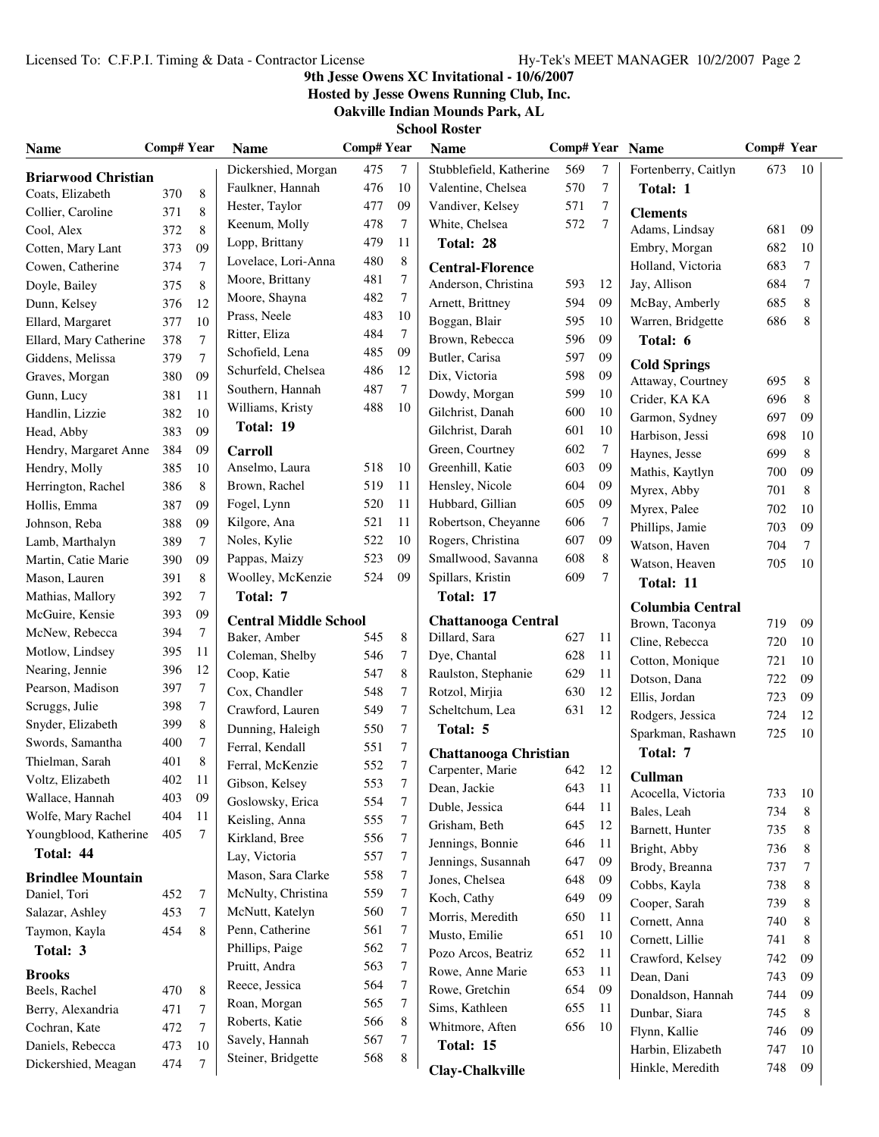# **9th Jesse Owens XC Invitational - 10/6/2007**

**Hosted by Jesse Owens Running Club, Inc.**

**Oakville Indian Mounds Park, AL**

| Name                       | <b>Comp# Year</b> |                | <b>Name</b>                  | <b>Comp#Year</b> |            | <b>Name</b>                  |     |                  | <b>Comp# Year Name</b>                    | Comp# Year |        |
|----------------------------|-------------------|----------------|------------------------------|------------------|------------|------------------------------|-----|------------------|-------------------------------------------|------------|--------|
| <b>Briarwood Christian</b> |                   |                | Dickershied, Morgan          | 475              | 7          | Stubblefield, Katherine      | 569 | $\tau$           | Fortenberry, Caitlyn                      | 673        | 10     |
| Coats, Elizabeth           | 370               | 8              | Faulkner, Hannah             | 476              | 10         | Valentine, Chelsea           | 570 | 7                | Total: 1                                  |            |        |
| Collier, Caroline          | 371               | 8              | Hester, Taylor               | 477              | 09         | Vandiver, Kelsey             | 571 | $\overline{7}$   | <b>Clements</b>                           |            |        |
| Cool, Alex                 | 372               | 8              | Keenum, Molly                | 478              | 7          | White, Chelsea               | 572 | $\overline{7}$   | Adams, Lindsay                            | 681        | 09     |
| Cotten, Mary Lant          | 373               | 09             | Lopp, Brittany               | 479              | 11         | Total: 28                    |     |                  | Embry, Morgan                             | 682        | 10     |
| Cowen, Catherine           | 374               | $\tau$         | Lovelace, Lori-Anna          | 480              | 8          | <b>Central-Florence</b>      |     |                  | Holland, Victoria                         | 683        | $\tau$ |
| Doyle, Bailey              | 375               | 8              | Moore, Brittany              | 481              | 7          | Anderson, Christina          | 593 | 12               | Jay, Allison                              | 684        | $\tau$ |
| Dunn, Kelsey               | 376               | 12             | Moore, Shayna                | 482              | 7          | Arnett, Brittney             | 594 | 09               | McBay, Amberly                            | 685        | 8      |
| Ellard, Margaret           | 377               | 10             | Prass, Neele                 | 483              | 10         | Boggan, Blair                | 595 | 10               | Warren, Bridgette                         | 686        | 8      |
| Ellard, Mary Catherine     | 378               | $\overline{7}$ | Ritter, Eliza                | 484              | 7          | Brown, Rebecca               | 596 | 09               | Total: 6                                  |            |        |
| Giddens, Melissa           | 379               | $\overline{7}$ | Schofield, Lena              | 485              | 09         | Butler, Carisa               | 597 | 09               | <b>Cold Springs</b>                       |            |        |
| Graves, Morgan             | 380               | 09             | Schurfeld, Chelsea           | 486              | 12         | Dix, Victoria                | 598 | 09               | Attaway, Courtney                         | 695        | 8      |
| Gunn, Lucy                 | 381               | 11             | Southern, Hannah             | 487              | $\tau$     | Dowdy, Morgan                | 599 | 10               | Crider, KA KA                             | 696        | 8      |
| Handlin, Lizzie            | 382               | 10             | Williams, Kristy             | 488              | 10         | Gilchrist, Danah             | 600 | 10               | Garmon, Sydney                            | 697        | 09     |
| Head, Abby                 | 383               | 09             | Total: 19                    |                  |            | Gilchrist, Darah             | 601 | 10               | Harbison, Jessi                           | 698        | 10     |
| Hendry, Margaret Anne      | 384               | 09             | <b>Carroll</b>               |                  |            | Green, Courtney              | 602 | $\boldsymbol{7}$ | Haynes, Jesse                             | 699        | 8      |
| Hendry, Molly              | 385               | 10             | Anselmo, Laura               | 518              | 10         | Greenhill, Katie             | 603 | 09               | Mathis, Kaytlyn                           | 700        | 09     |
| Herrington, Rachel         | 386               | 8              | Brown, Rachel                | 519              | 11         | Hensley, Nicole              | 604 | 09               | Myrex, Abby                               | 701        | 8      |
| Hollis, Emma               | 387               | 09             | Fogel, Lynn                  | 520              | 11         | Hubbard, Gillian             | 605 | 09               | Myrex, Palee                              | 702        | 10     |
| Johnson, Reba              | 388               | 09             | Kilgore, Ana                 | 521              | 11         | Robertson, Cheyanne          | 606 | $\tau$           | Phillips, Jamie                           | 703        | 09     |
| Lamb, Marthalyn            | 389               | 7              | Noles, Kylie                 | 522              | 10         | Rogers, Christina            | 607 | 09               | Watson, Haven                             | 704        | $\tau$ |
| Martin, Catie Marie        | 390               | 09             | Pappas, Maizy                | 523              | 09         | Smallwood, Savanna           | 608 | 8                | Watson, Heaven                            | 705        | 10     |
| Mason, Lauren              | 391               | 8              | Woolley, McKenzie            | 524              | 09         | Spillars, Kristin            | 609 | $\tau$           | Total: 11                                 |            |        |
| Mathias, Mallory           | 392               | $\tau$         | Total: 7                     |                  |            | Total: 17                    |     |                  |                                           |            |        |
| McGuire, Kensie            | 393               | 09             | <b>Central Middle School</b> |                  |            | <b>Chattanooga Central</b>   |     |                  | <b>Columbia Central</b><br>Brown, Taconya | 719        | 09     |
| McNew, Rebecca             | 394               | 7              | Baker, Amber                 | 545              | 8          | Dillard, Sara                | 627 | 11               | Cline, Rebecca                            | 720        | 10     |
| Motlow, Lindsey            | 395               | 11             | Coleman, Shelby              | 546              | 7          | Dye, Chantal                 | 628 | 11               | Cotton, Monique                           | 721        | 10     |
| Nearing, Jennie            | 396               | 12             | Coop, Katie                  | 547              | 8          | Raulston, Stephanie          | 629 | 11               | Dotson, Dana                              | 722        | 09     |
| Pearson, Madison           | 397               | 7              | Cox, Chandler                | 548              | 7          | Rotzol, Mirjia               | 630 | 12               | Ellis, Jordan                             | 723        | 09     |
| Scruggs, Julie             | 398               | $\tau$         | Crawford, Lauren             | 549              | 7          | Scheltchum, Lea              | 631 | 12               | Rodgers, Jessica                          | 724        | 12     |
| Snyder, Elizabeth          | 399               | 8              | Dunning, Haleigh             | 550              | 7          | Total: 5                     |     |                  | Sparkman, Rashawn                         | 725        | 10     |
| Swords, Samantha           | 400               | 7              | Ferral, Kendall              | 551              | 7          | <b>Chattanooga Christian</b> |     |                  | Total: 7                                  |            |        |
| Thielman, Sarah            | 401               | 8              | Ferral, McKenzie             | 552              | 7          | Carpenter, Marie             | 642 | 12               |                                           |            |        |
| Voltz, Elizabeth           | 402               | 11             | Gibson, Kelsey               | 553              | $\sqrt{ }$ | Dean, Jackie                 | 643 | 11               | <b>Cullman</b>                            |            |        |
| Wallace, Hannah            | 403               | 09             | Goslowsky, Erica             | 554              | 7          | Duble, Jessica               | 644 | 11               | Acocella, Victoria                        | 733        | 10     |
| Wolfe, Mary Rachel         | 404               | 11             | Keisling, Anna               | 555              | 7          | Grisham, Beth                | 645 | 12               | Bales, Leah                               | 734        | 8      |
| Youngblood, Katherine      | 405               | 7              | Kirkland, Bree               | 556              | 7          | Jennings, Bonnie             | 646 | 11               | Barnett, Hunter                           | 735        | 8      |
| Total: 44                  |                   |                | Lay, Victoria                | 557              | 7          | Jennings, Susannah           | 647 | 09               | Bright, Abby                              | 736        | 8<br>7 |
| <b>Brindlee Mountain</b>   |                   |                | Mason, Sara Clarke           | 558              | 7          | Jones, Chelsea               | 648 | 09               | Brody, Breanna<br>Cobbs, Kayla            | 737<br>738 | 8      |
| Daniel, Tori               | 452               | 7              | McNulty, Christina           | 559              | 7          | Koch, Cathy                  | 649 | 09               | Cooper, Sarah                             | 739        | 8      |
| Salazar, Ashley            | 453               | 7              | McNutt, Katelyn              | 560              | 7          | Morris, Meredith             | 650 | 11               | Cornett, Anna                             | 740        | 8      |
| Taymon, Kayla              | 454               | 8              | Penn, Catherine              | 561              | 7          | Musto, Emilie                | 651 | 10               | Cornett, Lillie                           | 741        | 8      |
| Total: 3                   |                   |                | Phillips, Paige              | 562              | 7          | Pozo Arcos, Beatriz          | 652 | 11               | Crawford, Kelsey                          | 742        | 09     |
| <b>Brooks</b>              |                   |                | Pruitt, Andra                | 563              | 7          | Rowe, Anne Marie             | 653 | 11               | Dean, Dani                                | 743        | 09     |
| Beels, Rachel              | 470               | 8              | Reece, Jessica               | 564              | 7          | Rowe, Gretchin               | 654 | 09               | Donaldson, Hannah                         | 744        | 09     |
| Berry, Alexandria          | 471               | 7              | Roan, Morgan                 | 565              | 7          | Sims, Kathleen               | 655 | 11               | Dunbar, Siara                             | 745        | 8      |
| Cochran, Kate              | 472               | $\tau$         | Roberts, Katie               | 566              | 8          | Whitmore, Aften              | 656 | 10               | Flynn, Kallie                             | 746        | 09     |
| Daniels, Rebecca           | 473               | 10             | Savely, Hannah               | 567              | 7          | Total: 15                    |     |                  | Harbin, Elizabeth                         | 747        | 10     |
| Dickershied, Meagan        | 474               | 7              | Steiner, Bridgette           | 568              | 8          | <b>Clay-Chalkville</b>       |     |                  | Hinkle, Meredith                          | 748        | 09     |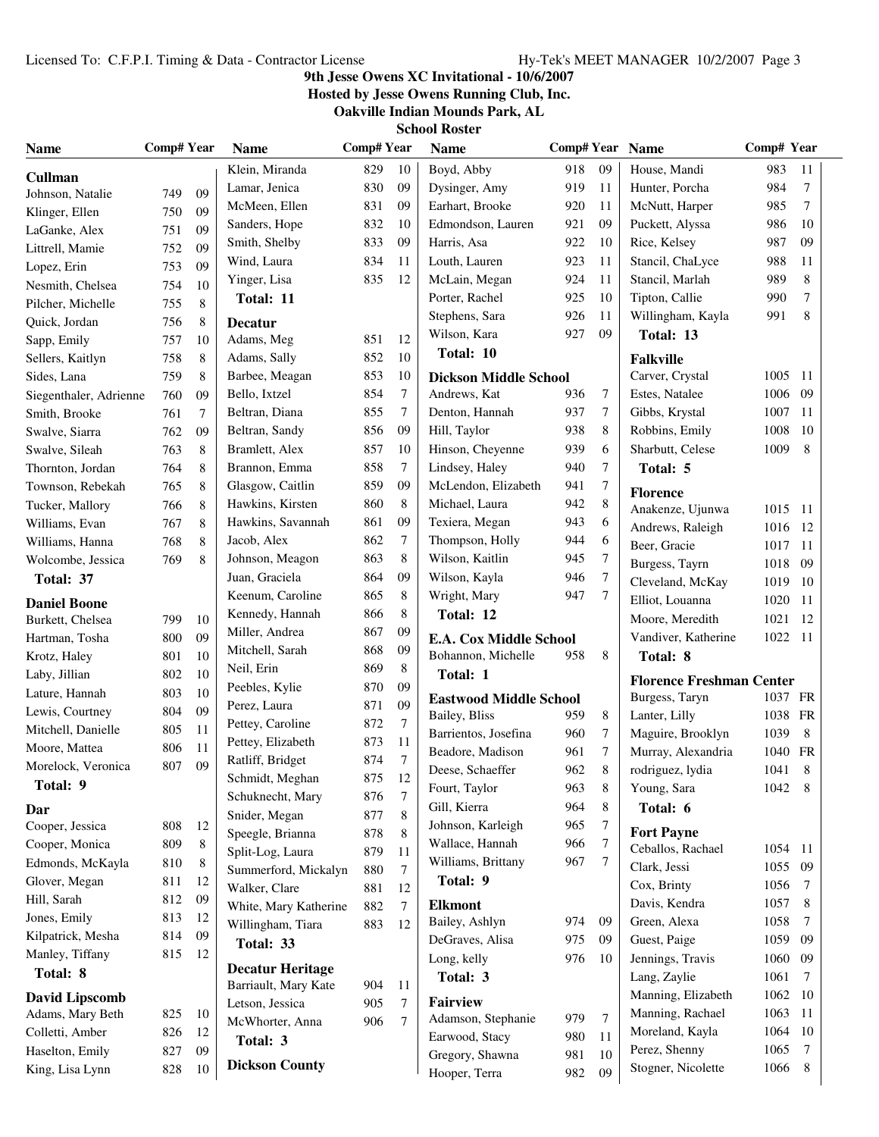# **9th Jesse Owens XC Invitational - 10/6/2007**

**Hosted by Jesse Owens Running Club, Inc.**

**Oakville Indian Mounds Park, AL**

| Name                               | <b>Comp# Year</b> |          | <b>Name</b>             | <b>Comp#Year</b> |                | <b>Name</b>                   | Comp# Year Name |                  |                                 | Comp# Year   |                |
|------------------------------------|-------------------|----------|-------------------------|------------------|----------------|-------------------------------|-----------------|------------------|---------------------------------|--------------|----------------|
| <b>Cullman</b>                     |                   |          | Klein, Miranda          | 829              | 10             | Boyd, Abby                    | 918             | 09               | House, Mandi                    | 983          | 11             |
| Johnson, Natalie                   | 749               | 09       | Lamar, Jenica           | 830              | 09             | Dysinger, Amy                 | 919             | 11               | Hunter, Porcha                  | 984          | $\tau$         |
| Klinger, Ellen                     | 750               | 09       | McMeen, Ellen           | 831              | 09             | Earhart, Brooke               | 920             | 11               | McNutt, Harper                  | 985          | 7              |
| LaGanke, Alex                      | 751               | 09       | Sanders, Hope           | 832              | 10             | Edmondson, Lauren             | 921             | 09               | Puckett, Alyssa                 | 986          | 10             |
| Littrell, Mamie                    | 752               | 09       | Smith, Shelby           | 833              | 09             | Harris, Asa                   | 922             | 10               | Rice, Kelsey                    | 987          | 09             |
| Lopez, Erin                        | 753               | 09       | Wind, Laura             | 834              | 11             | Louth, Lauren                 | 923             | 11               | Stancil, ChaLyce                | 988          | 11             |
| Nesmith, Chelsea                   | 754               | 10       | Yinger, Lisa            | 835              | 12             | McLain, Megan                 | 924             | 11               | Stancil, Marlah                 | 989          | 8              |
| Pilcher, Michelle                  | 755               | 8        | Total: 11               |                  |                | Porter, Rachel                | 925             | 10               | Tipton, Callie                  | 990          | $\overline{7}$ |
| Quick, Jordan                      | 756               | 8        | <b>Decatur</b>          |                  |                | Stephens, Sara                | 926             | 11               | Willingham, Kayla               | 991          | 8              |
| Sapp, Emily                        | 757               | 10       | Adams, Meg              | 851              | 12             | Wilson, Kara                  | 927             | 09               | Total: 13                       |              |                |
| Sellers, Kaitlyn                   | 758               | 8        | Adams, Sally            | 852              | 10             | Total: 10                     |                 |                  | <b>Falkville</b>                |              |                |
| Sides, Lana                        | 759               | 8        | Barbee, Meagan          | 853              | 10             | <b>Dickson Middle School</b>  |                 |                  | Carver, Crystal                 | 1005 11      |                |
| Siegenthaler, Adrienne             | 760               | 09       | Bello, Ixtzel           | 854              | $\tau$         | Andrews, Kat                  | 936             | 7                | Estes, Natalee                  | 1006         | -09            |
| Smith, Brooke                      | 761               | 7        | Beltran, Diana          | 855              | $\tau$         | Denton, Hannah                | 937             | $\overline{7}$   | Gibbs, Krystal                  | 1007         | 11             |
| Swalve, Siarra                     | 762               | 09       | Beltran, Sandy          | 856              | 09             | Hill, Taylor                  | 938             | 8                | Robbins, Emily                  | 1008         | -10            |
| Swalve, Sileah                     | 763               | 8        | Bramlett, Alex          | 857              | 10             | Hinson, Cheyenne              | 939             | 6                | Sharbutt, Celese                | 1009         | 8              |
| Thornton, Jordan                   | 764               | 8        | Brannon, Emma           | 858              | 7              | Lindsey, Haley                | 940             | 7                | Total: 5                        |              |                |
| Townson, Rebekah                   | 765               | 8        | Glasgow, Caitlin        | 859              | 09             | McLendon, Elizabeth           | 941             | 7                | <b>Florence</b>                 |              |                |
| Tucker, Mallory                    | 766               | 8        | Hawkins, Kirsten        | 860              | 8              | Michael, Laura                | 942             | 8                | Anakenze, Ujunwa                | 1015 11      |                |
| Williams, Evan                     | 767               | 8        | Hawkins, Savannah       | 861              | 09             | Texiera, Megan                | 943             | 6                | Andrews, Raleigh                | 1016         | -12            |
| Williams, Hanna                    | 768               | 8        | Jacob, Alex             | 862              | $\tau$         | Thompson, Holly               | 944             | 6                | Beer, Gracie                    | 1017         | - 11           |
| Wolcombe, Jessica                  | 769               | 8        | Johnson, Meagon         | 863              | 8              | Wilson, Kaitlin               | 945             | $\boldsymbol{7}$ | Burgess, Tayrn                  | 1018         | - 09           |
| Total: 37                          |                   |          | Juan, Graciela          | 864              | 09             | Wilson, Kayla                 | 946             | 7                | Cleveland, McKay                | 1019 10      |                |
| <b>Daniel Boone</b>                |                   |          | Keenum, Caroline        | 865              | 8              | Wright, Mary                  | 947             | 7                | Elliot, Louanna                 | 1020         | 11             |
| Burkett, Chelsea                   | 799               | 10       | Kennedy, Hannah         | 866              | 8              | Total: 12                     |                 |                  | Moore, Meredith                 | 1021         | 12             |
| Hartman, Tosha                     | 800               | 09       | Miller, Andrea          | 867              | 09             | <b>E.A. Cox Middle School</b> |                 |                  | Vandiver, Katherine             | 1022 11      |                |
| Krotz, Haley                       | 801               | 10       | Mitchell, Sarah         | 868              | 09             | Bohannon, Michelle            | 958             | 8                | Total: 8                        |              |                |
| Laby, Jillian                      | 802               | 10       | Neil, Erin              | 869              | 8              | Total: 1                      |                 |                  |                                 |              |                |
| Lature, Hannah                     | 803               | 10       | Peebles, Kylie          | 870              | 09             |                               |                 |                  | <b>Florence Freshman Center</b> |              |                |
| Lewis, Courtney                    | 804               | 09       | Perez, Laura            | 871              | 09             | <b>Eastwood Middle School</b> |                 |                  | Burgess, Taryn                  | 1037 FR      |                |
| Mitchell, Danielle                 | 805               | 11       | Pettey, Caroline        | 872              | $\tau$         | Bailey, Bliss                 | 959             | 8                | Lanter, Lilly                   | 1038 FR      |                |
| Moore, Mattea                      | 806               | 11       | Pettey, Elizabeth       | 873              | 11             | Barrientos, Josefina          | 960             | 7<br>$\tau$      | Maguire, Brooklyn               | 1039         | 8              |
| Morelock, Veronica                 | 807               | 09       | Ratliff, Bridget        | 874              | $\overline{7}$ | Beadore, Madison              | 961<br>962      | 8                | Murray, Alexandria              | 1040<br>1041 | FR<br>8        |
| Total: 9                           |                   |          | Schmidt, Meghan         | 875              | 12             | Deese, Schaeffer              | 963             |                  | rodriguez, lydia                |              |                |
|                                    |                   |          | Schuknecht, Mary        | 876              | 7              | Fourt, Taylor<br>Gill, Kierra | 964             | 8<br>8           | Young, Sara<br>Total: 6         | 1042 8       |                |
| Dar                                |                   |          | Snider, Megan           | 877              | 8              | Johnson, Karleigh             | 965             | 7                |                                 |              |                |
| Cooper, Jessica                    | 808<br>809        | 12       | Speegle, Brianna        | 878              | 8              | Wallace, Hannah               | 966             | 7                | <b>Fort Payne</b>               |              |                |
| Cooper, Monica<br>Edmonds, McKayla | 810               | 8        | Split-Log, Laura        | 879              | 11             | Williams, Brittany            | 967             | 7                | Ceballos, Rachael               | 1054 11      |                |
| Glover, Megan                      | 811               | 8        | Summerford, Mickalyn    | 880              | 7              | Total: 9                      |                 |                  | Clark, Jessi                    | 1055 09      |                |
| Hill, Sarah                        | 812               | 12<br>09 | Walker, Clare           | 881              | 12             |                               |                 |                  | Cox, Brinty                     | 1056         | 7              |
| Jones, Emily                       | 813               | 12       | White, Mary Katherine   | 882              | 7              | <b>Elkmont</b>                |                 |                  | Davis, Kendra                   | 1057         | 8              |
| Kilpatrick, Mesha                  | 814               | 09       | Willingham, Tiara       | 883              | 12             | Bailey, Ashlyn                | 974             | 09               | Green, Alexa                    | 1058         | 7              |
| Manley, Tiffany                    | 815               | 12       | Total: 33               |                  |                | DeGraves, Alisa               | 975             | 09               | Guest, Paige                    | 1059 09      |                |
| Total: 8                           |                   |          | <b>Decatur Heritage</b> |                  |                | Long, kelly                   | 976             | 10               | Jennings, Travis                | 1060         | 09             |
|                                    |                   |          | Barriault, Mary Kate    | 904              | 11             | Total: 3                      |                 |                  | Lang, Zaylie                    | 1061         | 7              |
| <b>David Lipscomb</b>              |                   |          | Letson, Jessica         | 905              | 7              | <b>Fairview</b>               |                 |                  | Manning, Elizabeth              | 1062 10      |                |
| Adams, Mary Beth                   | 825               | 10       | McWhorter, Anna         | 906              | 7              | Adamson, Stephanie            | 979             | $7\phantom{.0}$  | Manning, Rachael                | 1063         | -11            |
| Colletti, Amber                    | 826               | 12       | Total: 3                |                  |                | Earwood, Stacy                | 980             | 11               | Moreland, Kayla                 | 1064         | -10            |
| Haselton, Emily                    | 827               | 09       | <b>Dickson County</b>   |                  |                | Gregory, Shawna               | 981             | 10               | Perez, Shenny                   | 1065         | 7              |
| King, Lisa Lynn                    | 828               | $10\,$   |                         |                  |                | Hooper, Terra                 | 982             | 09               | Stogner, Nicolette              | 1066         | 8              |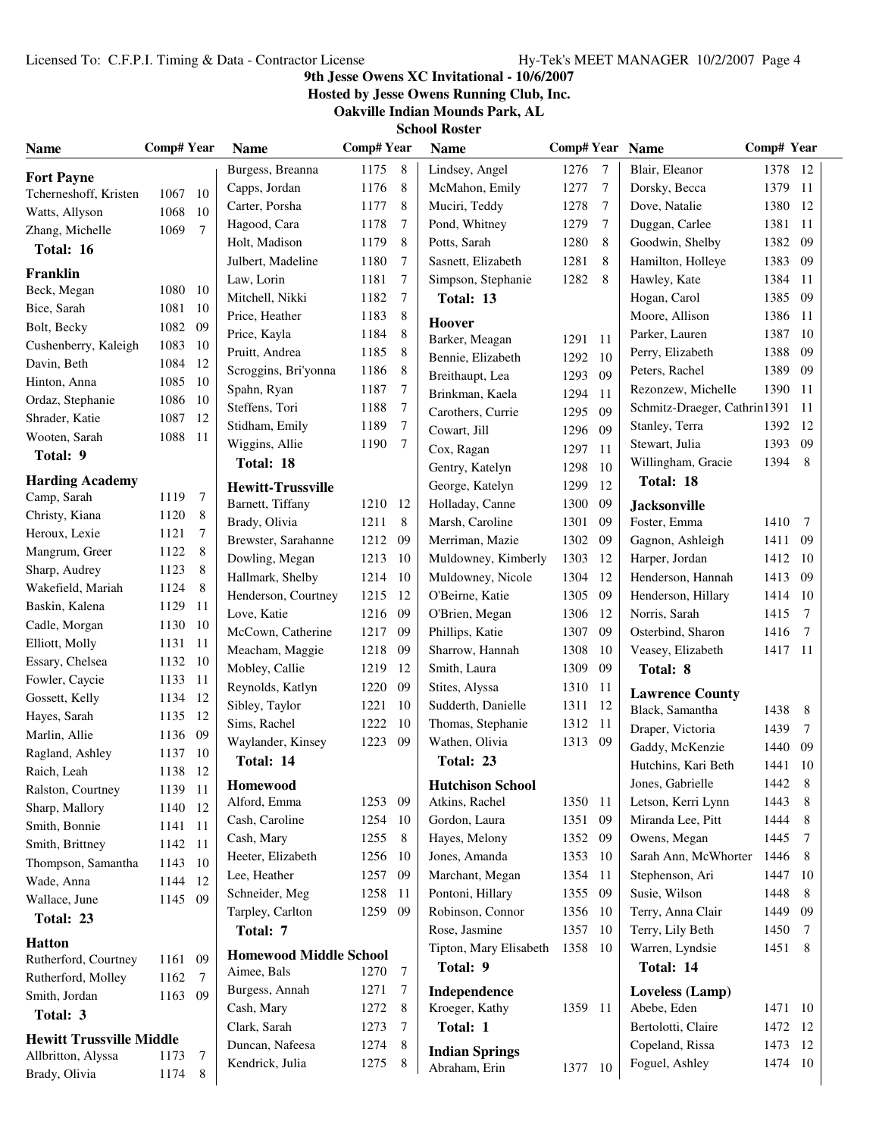# **9th Jesse Owens XC Invitational - 10/6/2007**

**Hosted by Jesse Owens Running Club, Inc.**

**Oakville Indian Mounds Park, AL School Rost** 

|  | SCNOOL KOSTEF |  |
|--|---------------|--|
|  |               |  |

| <b>Name</b>                     | Comp# Year |                 | <b>Name</b>                   | <b>Comp#Year</b> |                 | <b>Name</b>             | Comp# Year Name |                |                              | Comp# Year |        |
|---------------------------------|------------|-----------------|-------------------------------|------------------|-----------------|-------------------------|-----------------|----------------|------------------------------|------------|--------|
| <b>Fort Payne</b>               |            |                 | Burgess, Breanna              | 1175 8           |                 | Lindsey, Angel          | 1276            | $\overline{7}$ | Blair, Eleanor               | 1378 12    |        |
| Tcherneshoff, Kristen           | 1067       | - 10            | Capps, Jordan                 | 1176             | 8               | McMahon, Emily          | 1277            | $\overline{7}$ | Dorsky, Becca                | 1379       | -11    |
| Watts, Allyson                  | 1068       | 10              | Carter, Porsha                | 1177             | 8               | Muciri, Teddy           | 1278            | 7              | Dove, Natalie                | 1380       | -12    |
| Zhang, Michelle                 | 1069       | $\overline{7}$  | Hagood, Cara                  | 1178             | 7               | Pond, Whitney           | 1279            | 7              | Duggan, Carlee               | 1381       | 11     |
| Total: 16                       |            |                 | Holt, Madison                 | 1179             | 8               | Potts, Sarah            | 1280            | 8              | Goodwin, Shelby              | 1382       | 09     |
|                                 |            |                 | Julbert, Madeline             | 1180             | 7               | Sasnett, Elizabeth      | 1281            | 8              | Hamilton, Holleye            | 1383       | -09    |
| Franklin                        |            |                 | Law, Lorin                    | 1181             | 7               | Simpson, Stephanie      | 1282            | 8              | Hawley, Kate                 | 1384       | -11    |
| Beck, Megan                     | 1080 10    |                 | Mitchell, Nikki               | 1182             | 7               | Total: 13               |                 |                | Hogan, Carol                 | 1385       | 09     |
| Bice, Sarah                     | 1081       | -10             | Price, Heather                | 1183             | 8               | Hoover                  |                 |                | Moore, Allison               | 1386       | -11    |
| Bolt, Becky                     | 1082       | 09              | Price, Kayla                  | 1184             | 8               | Barker, Meagan          | 1291 11         |                | Parker, Lauren               | 1387       | -10    |
| Cushenberry, Kaleigh            | 1083       | -10             | Pruitt, Andrea                | 1185             | 8               | Bennie, Elizabeth       | 1292            | - 10           | Perry, Elizabeth             | 1388       | 09     |
| Davin, Beth                     | 1084       | 12              | Scroggins, Bri'yonna          | 1186             | 8               | Breithaupt, Lea         | 1293            | 09             | Peters, Rachel               | 1389       | 09     |
| Hinton, Anna                    | 1085       | 10              | Spahn, Ryan                   | 1187             | 7               | Brinkman, Kaela         | 1294            | 11             | Rezonzew, Michelle           | 1390       | -11    |
| Ordaz, Stephanie                | 1086       | 10              | Steffens, Tori                | 1188             | 7               | Carothers, Currie       | 1295            | 09             | Schmitz-Draeger, Cathrin1391 |            | -11    |
| Shrader, Katie                  | 1087       | 12              | Stidham, Emily                | 1189             | $\overline{7}$  | Cowart, Jill            | 1296            | 09             | Stanley, Terra               | 1392       | -12    |
| Wooten, Sarah                   | 1088 11    |                 | Wiggins, Allie                | 1190             | - 7             | Cox, Ragan              | 1297            | 11             | Stewart, Julia               | 1393       | 09     |
| Total: 9                        |            |                 | Total: 18                     |                  |                 | Gentry, Katelyn         | 1298            | 10             | Willingham, Gracie           | 1394       | 8      |
| <b>Harding Academy</b>          |            |                 | <b>Hewitt-Trussville</b>      |                  |                 | George, Katelyn         | 1299            | 12             | Total: 18                    |            |        |
| Camp, Sarah                     | 1119       | $7\phantom{.0}$ | Barnett, Tiffany              | 1210 12          |                 | Holladay, Canne         | 1300            | 09             | <b>Jacksonville</b>          |            |        |
| Christy, Kiana                  | 1120       | 8               | Brady, Olivia                 | 1211             | 8               | Marsh, Caroline         | 1301            | 09             | Foster, Emma                 | 1410       | -7     |
| Heroux, Lexie                   | 1121       | $\tau$          | Brewster, Sarahanne           | 1212 09          |                 | Merriman, Mazie         | 1302            | 09             | Gagnon, Ashleigh             | 1411       | -09    |
| Mangrum, Greer                  | 1122       | 8               | Dowling, Megan                | 1213 10          |                 | Muldowney, Kimberly     | 1303            | 12             | Harper, Jordan               | 1412       | -10    |
| Sharp, Audrey                   | 1123       | 8               | Hallmark, Shelby              | 1214 10          |                 | Muldowney, Nicole       | 1304            | 12             | Henderson, Hannah            | 1413       | -09    |
| Wakefield, Mariah               | 1124       | 8               | Henderson, Courtney           | 1215 12          |                 | O'Beirne, Katie         | 1305            | 09             | Henderson, Hillary           | 1414 10    |        |
| Baskin, Kalena                  | 1129       | -11             | Love, Katie                   | 1216 09          |                 | O'Brien, Megan          | 1306            | 12             | Norris, Sarah                | 1415       | 7      |
| Cadle, Morgan                   | 1130       | -10             | McCown, Catherine             | 1217 09          |                 | Phillips, Katie         | 1307            | 09             | Osterbind, Sharon            | 1416       | 7      |
| Elliott, Molly                  | 1131       | - 11            | Meacham, Maggie               | 1218 09          |                 | Sharrow, Hannah         | 1308            | 10             | Veasey, Elizabeth            | 1417 11    |        |
| Essary, Chelsea                 | 1132       | 10              | Mobley, Callie                | 1219             | - 12            | Smith, Laura            | 1309            | 09             | Total: 8                     |            |        |
| Fowler, Caycie                  | 1133       | - 11            | Reynolds, Katlyn              | 1220             | - 09            | Stites, Alyssa          | 1310            | -11            |                              |            |        |
| Gossett, Kelly                  | 1134       | -12             | Sibley, Taylor                | 1221             | 10              | Sudderth, Danielle      | 1311 12         |                | <b>Lawrence County</b>       |            |        |
| Hayes, Sarah                    | 1135       | 12              | Sims, Rachel                  | 1222             | - 10            | Thomas, Stephanie       | 1312 11         |                | Black, Samantha              | 1438       | 8      |
| Marlin, Allie                   | 1136       | 09              | Waylander, Kinsey             | 1223 09          |                 | Wathen, Olivia          | 1313 09         |                | Draper, Victoria             | 1439       | $\tau$ |
| Ragland, Ashley                 | 1137       | -10             | Total: 14                     |                  |                 | Total: 23               |                 |                | Gaddy, McKenzie              | 1440       | 09     |
| Raich, Leah                     | 1138       | 12              |                               |                  |                 |                         |                 |                | Hutchins, Kari Beth          | 1441 10    |        |
| Ralston, Courtney               | 1139       | -11             | <b>Homewood</b>               |                  |                 | <b>Hutchison School</b> |                 |                | Jones, Gabrielle             | 1442       | 8      |
| Sharp, Mallory                  | 1140 12    |                 | Alford, Emma                  | 1253 09          |                 | Atkins, Rachel          | 1350 11         |                | Letson, Kerri Lynn           | 1443       | 8      |
| Smith, Bonnie                   | 1141       | - 11            | Cash, Caroline                | 1254 10          |                 | Gordon, Laura           | 1351            | 09             | Miranda Lee, Pitt            | 1444       | 8      |
| Smith, Brittney                 | 1142 11    |                 | Cash, Mary                    | 1255             | $8\phantom{.0}$ | Hayes, Melony           | 1352            | 09             | Owens, Megan                 | 1445       | 7      |
| Thompson, Samantha              | 1143       | -10             | Heeter, Elizabeth             | 1256 10          |                 | Jones, Amanda           | 1353            | -10            | Sarah Ann, McWhorter         | 1446       | 8      |
| Wade, Anna                      | 1144       | -12             | Lee, Heather                  | 1257 09          |                 | Marchant, Megan         | 1354            | 11             | Stephenson, Ari              | 1447       | -10    |
| Wallace, June                   | 1145 09    |                 | Schneider, Meg                | 1258             | - 11            | Pontoni, Hillary        | 1355            | 09             | Susie, Wilson                | 1448       | 8      |
| Total: 23                       |            |                 | Tarpley, Carlton              | 1259 09          |                 | Robinson, Connor        | 1356            | 10             | Terry, Anna Clair            | 1449       | 09     |
| <b>Hatton</b>                   |            |                 | Total: 7                      |                  |                 | Rose, Jasmine           | 1357            | 10             | Terry, Lily Beth             | 1450       | 7      |
| Rutherford, Courtney            | 1161       | 09              | <b>Homewood Middle School</b> |                  |                 | Tipton, Mary Elisabeth  | 1358            | -10            | Warren, Lyndsie              | 1451       | 8      |
| Rutherford, Molley              | 1162       | $7\phantom{.0}$ | Aimee, Bals                   | 1270             | $\overline{7}$  | Total: 9                |                 |                | Total: 14                    |            |        |
| Smith, Jordan                   | 1163 09    |                 | Burgess, Annah                | 1271             | $\overline{7}$  | Independence            |                 |                | Loveless (Lamp)              |            |        |
| Total: 3                        |            |                 | Cash, Mary                    | 1272             | 8               | Kroeger, Kathy          | 1359 11         |                | Abebe, Eden                  | 1471 10    |        |
| <b>Hewitt Trussville Middle</b> |            |                 | Clark, Sarah                  | 1273             | $\overline{7}$  | Total: 1                |                 |                | Bertolotti, Claire           | 1472 12    |        |
| Allbritton, Alyssa              | 1173       | 7               | Duncan, Nafeesa               | 1274             | 8               | <b>Indian Springs</b>   |                 |                | Copeland, Rissa              | 1473 12    |        |
| Brady, Olivia                   | 1174       | 8               | Kendrick, Julia               | 1275             | 8               | Abraham, Erin           | 1377 10         |                | Foguel, Ashley               | 1474 10    |        |
|                                 |            |                 |                               |                  |                 |                         |                 |                |                              |            |        |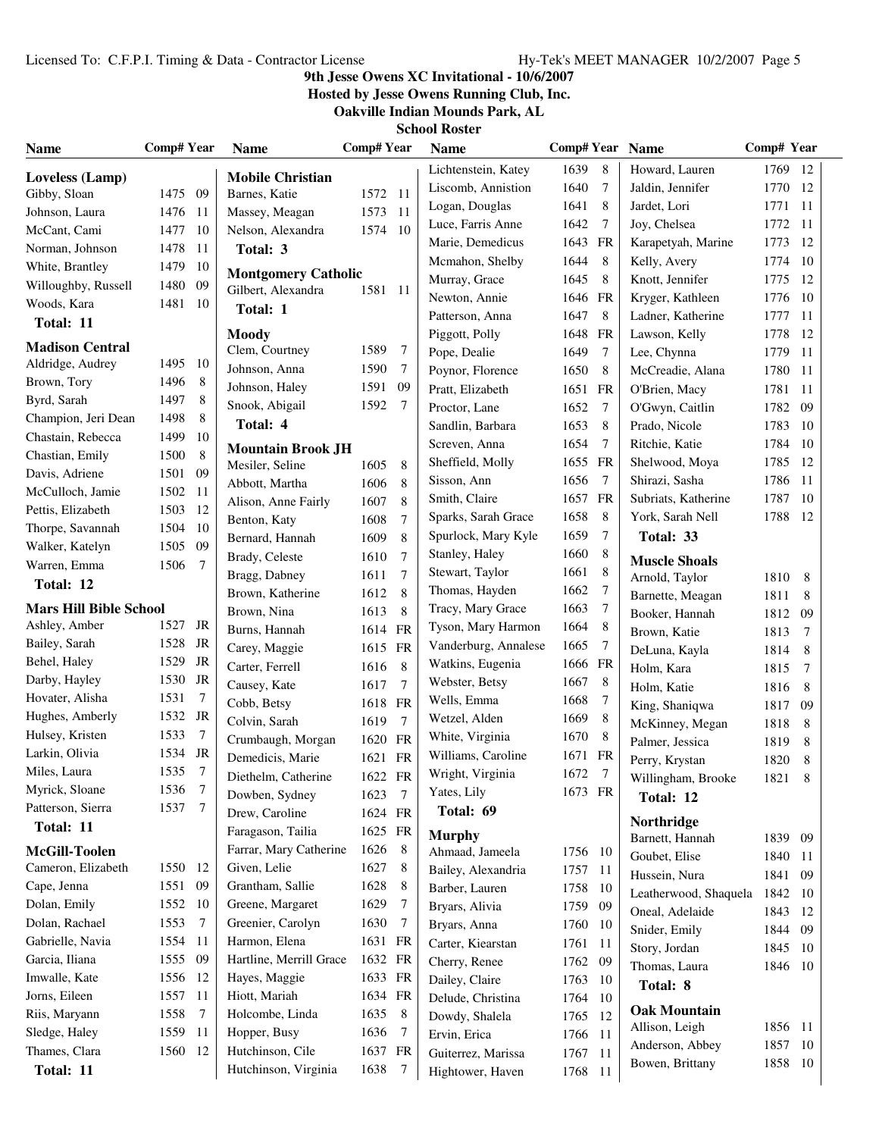# **9th Jesse Owens XC Invitational - 10/6/2007**

**Hosted by Jesse Owens Running Club, Inc.**

**Oakville Indian Mounds Park, AL**

| <b>Name</b>                   | Comp# Year   |                | <b>Name</b>                                      | Comp#Year |                 | <b>Name</b>          | Comp# Year Name |               |                       | Comp# Year |        |
|-------------------------------|--------------|----------------|--------------------------------------------------|-----------|-----------------|----------------------|-----------------|---------------|-----------------------|------------|--------|
| Loveless (Lamp)               |              |                | <b>Mobile Christian</b>                          |           |                 | Lichtenstein, Katey  | 1639            | 8             | Howard, Lauren        | 1769 12    |        |
| Gibby, Sloan                  | 1475 09      |                | Barnes, Katie                                    | 1572 11   |                 | Liscomb, Annistion   | 1640            | 7             | Jaldin, Jennifer      | 1770 12    |        |
| Johnson, Laura                | 1476         | - 11           | Massey, Meagan                                   | 1573 11   |                 | Logan, Douglas       | 1641            | 8             | Jardet, Lori          | 1771       | -11    |
| McCant, Cami                  | 1477         | 10             | Nelson, Alexandra                                | 1574 10   |                 | Luce, Farris Anne    | 1642            | 7             | Joy, Chelsea          | 1772 11    |        |
| Norman, Johnson               | 1478         | 11             | Total: 3                                         |           |                 | Marie, Demedicus     | 1643            | FR            | Karapetyah, Marine    | 1773       | -12    |
| White, Brantley               | 1479         | 10             |                                                  |           |                 | Mcmahon, Shelby      | 1644            | 8             | Kelly, Avery          | 1774       | -10    |
| Willoughby, Russell           | 1480         | 09             | <b>Montgomery Catholic</b><br>Gilbert, Alexandra |           |                 | Murray, Grace        | 1645            | 8             | Knott, Jennifer       | 1775       | -12    |
| Woods, Kara                   | 1481         | -10            |                                                  | 1581 11   |                 | Newton, Annie        | 1646            | FR            | Kryger, Kathleen      | 1776       | - 10   |
| Total: 11                     |              |                | Total: 1                                         |           |                 | Patterson, Anna      | 1647            | 8             | Ladner, Katherine     | 1777       | -11    |
|                               |              |                | <b>Moody</b>                                     |           |                 | Piggott, Polly       | 1648            | <b>FR</b>     | Lawson, Kelly         | 1778       | 12     |
| <b>Madison Central</b>        |              |                | Clem, Courtney                                   | 1589      | -7              | Pope, Dealie         | 1649            | 7             | Lee, Chynna           | 1779       | -11    |
| Aldridge, Audrey              | 1495         | - 10           | Johnson, Anna                                    | 1590      | $7\phantom{.0}$ | Poynor, Florence     | 1650            | 8             | McCreadie, Alana      | 1780       | -11    |
| Brown, Tory                   | 1496<br>1497 | 8              | Johnson, Haley                                   | 1591 09   |                 | Pratt, Elizabeth     | 1651            | FR            | O'Brien, Macy         | 1781 11    |        |
| Byrd, Sarah                   |              | 8              | Snook, Abigail                                   | 1592      | $\overline{7}$  | Proctor, Lane        | 1652            | 7             | O'Gwyn, Caitlin       | 1782       | 09     |
| Champion, Jeri Dean           | 1498         | 8              | Total: 4                                         |           |                 | Sandlin, Barbara     | 1653            | 8             | Prado, Nicole         | 1783       | - 10   |
| Chastain, Rebecca             | 1499         | 10             | <b>Mountain Brook JH</b>                         |           |                 | Screven, Anna        | 1654            | 7             | Ritchie, Katie        | 1784       | - 10   |
| Chastian, Emily               | 1500         | 8              | Mesiler, Seline                                  | 1605      | 8               | Sheffield, Molly     | 1655            | FR            | Shelwood, Moya        | 1785       | -12    |
| Davis, Adriene                | 1501         | 09             | Abbott, Martha                                   | 1606      | 8               | Sisson, Ann          | 1656            | 7             | Shirazi, Sasha        | 1786       | -11    |
| McCulloch, Jamie              | 1502         | -11            | Alison, Anne Fairly                              | 1607      | 8               | Smith, Claire        | 1657            | FR            | Subriats, Katherine   | 1787       | 10     |
| Pettis, Elizabeth             | 1503         | 12             | Benton, Katy                                     | 1608      | 7               | Sparks, Sarah Grace  | 1658            | 8             | York, Sarah Nell      | 1788       | -12    |
| Thorpe, Savannah              | 1504         | 10             | Bernard, Hannah                                  | 1609      | 8               | Spurlock, Mary Kyle  | 1659            | 7             | Total: 33             |            |        |
| Walker, Katelyn               | 1505         | 09             | Brady, Celeste                                   | 1610      | 7               | Stanley, Haley       | 1660            | 8             | <b>Muscle Shoals</b>  |            |        |
| Warren, Emma                  | 1506         | $\overline{7}$ | Bragg, Dabney                                    | 1611      | $\tau$          | Stewart, Taylor      | 1661            | 8             | Arnold, Taylor        | 1810 8     |        |
| Total: 12                     |              |                | Brown, Katherine                                 | 1612      | 8               | Thomas, Hayden       | 1662            | 7             | Barnette, Meagan      | 1811       | 8      |
| <b>Mars Hill Bible School</b> |              |                | Brown, Nina                                      | 1613      | 8               | Tracy, Mary Grace    | 1663            | 7             | Booker, Hannah        | 1812       | 09     |
| Ashley, Amber                 | 1527         | JR             | Burns, Hannah                                    | 1614 FR   |                 | Tyson, Mary Harmon   | 1664            | 8             | Brown, Katie          | 1813       | $\tau$ |
| Bailey, Sarah                 | 1528         | JR             | Carey, Maggie                                    | 1615 FR   |                 | Vanderburg, Annalese | 1665            | 7             | DeLuna, Kayla         | 1814       | 8      |
| Behel, Haley                  | 1529         | JR             | Carter, Ferrell                                  | 1616      | 8               | Watkins, Eugenia     | 1666 FR         |               | Holm, Kara            | 1815       | 7      |
| Darby, Hayley                 | 1530         | JR             | Causey, Kate                                     | 1617      | 7               | Webster, Betsy       | 1667            | 8             | Holm, Katie           | 1816       | 8      |
| Hovater, Alisha               | 1531         | $\overline{7}$ | Cobb, Betsy                                      | 1618 FR   |                 | Wells, Emma          | 1668            | 7             | King, Shaniqwa        | 1817       | 09     |
| Hughes, Amberly               | 1532 JR      |                | Colvin, Sarah                                    | 1619      | $\overline{7}$  | Wetzel, Alden        | 1669            | 8             | McKinney, Megan       | 1818       | 8      |
| Hulsey, Kristen               | 1533         | $\overline{7}$ | Crumbaugh, Morgan                                | 1620 FR   |                 | White, Virginia      | 1670            | 8             | Palmer, Jessica       | 1819       | 8      |
| Larkin, Olivia                | 1534         | JR             | Demedicis, Marie                                 | 1621 FR   |                 | Williams, Caroline   | 1671            | FR            | Perry, Krystan        | 1820       | 8      |
| Miles, Laura                  | 1535         | $\overline{7}$ | Diethelm, Catherine                              | 1622 FR   |                 | Wright, Virginia     | 1672            | 7             | Willingham, Brooke    | 1821       | $\, 8$ |
| Myrick, Sloane                | 1536         | 7              | Dowben, Sydney                                   | 1623      | $\overline{7}$  | Yates, Lily          | 1673 FR         |               |                       |            |        |
| Patterson, Sierra             | 1537 7       |                | Drew, Caroline                                   | 1624 FR   |                 | Total: 69            |                 |               | Total: 12             |            |        |
| Total: 11                     |              |                | Faragason, Tailia                                | 1625 FR   |                 | <b>Murphy</b>        |                 |               | Northridge            |            |        |
| McGill-Toolen                 |              |                | Farrar, Mary Catherine                           | 1626      | 8               | Ahmaad, Jameela      | 1756 10         |               | Barnett, Hannah       | 1839 09    |        |
| Cameron, Elizabeth            | 1550         | -12            | Given, Lelie                                     | 1627      | 8               | Bailey, Alexandria   | 1757 11         |               | Goubet, Elise         | 1840 11    |        |
| Cape, Jenna                   | 1551         | 09             | Grantham, Sallie                                 | 1628      | 8               | Barber, Lauren       | 1758            | -10           | Hussein, Nura         | 1841       | 09     |
| Dolan, Emily                  | 1552         | -10            | Greene, Margaret                                 | 1629      | 7               | Bryars, Alivia       | 1759            | 09            | Leatherwood, Shaquela | 1842 10    |        |
| Dolan, Rachael                | 1553         | 7              | Greenier, Carolyn                                | 1630      | $\overline{7}$  | Bryars, Anna         | 1760            | 10            | Oneal, Adelaide       | 1843 12    |        |
| Gabrielle, Navia              | 1554         | -11            | Harmon, Elena                                    | 1631 FR   |                 | Carter, Kiearstan    | 1761            | -11           | Snider, Emily         | 1844 09    |        |
| Garcia, Iliana                | 1555         | 09             | Hartline, Merrill Grace                          | 1632 FR   |                 | Cherry, Renee        | 1762            | -09           | Story, Jordan         | 1845 10    |        |
| Imwalle, Kate                 | 1556         | -12            | Hayes, Maggie                                    | 1633 FR   |                 | Dailey, Claire       |                 |               | Thomas, Laura         | 1846 10    |        |
| Jorns, Eileen                 | 1557         | -11            | Hiott, Mariah                                    | 1634 FR   |                 | Delude, Christina    | 1763<br>1764    | -10<br>-10    | Total: 8              |            |        |
| Riis, Maryann                 | 1558         | 7              | Holcombe, Linda                                  | 1635 8    |                 |                      |                 |               | <b>Oak Mountain</b>   |            |        |
| Sledge, Haley                 | 1559         | 11             | Hopper, Busy                                     | 1636      | $\overline{7}$  | Dowdy, Shalela       | 1765            | 12            | Allison, Leigh        | 1856 11    |        |
| Thames, Clara                 | 1560         | 12             | Hutchinson, Cile                                 | 1637 FR   |                 | Ervin, Erica         | 1766            | 11            | Anderson, Abbey       | 1857 10    |        |
|                               |              |                | Hutchinson, Virginia                             | 1638      | $\overline{7}$  | Guiterrez, Marissa   | 1767            | 11            | Bowen, Brittany       | 1858 10    |        |
| Total: 11                     |              |                |                                                  |           |                 | Hightower, Haven     | 1768            | <sup>11</sup> |                       |            |        |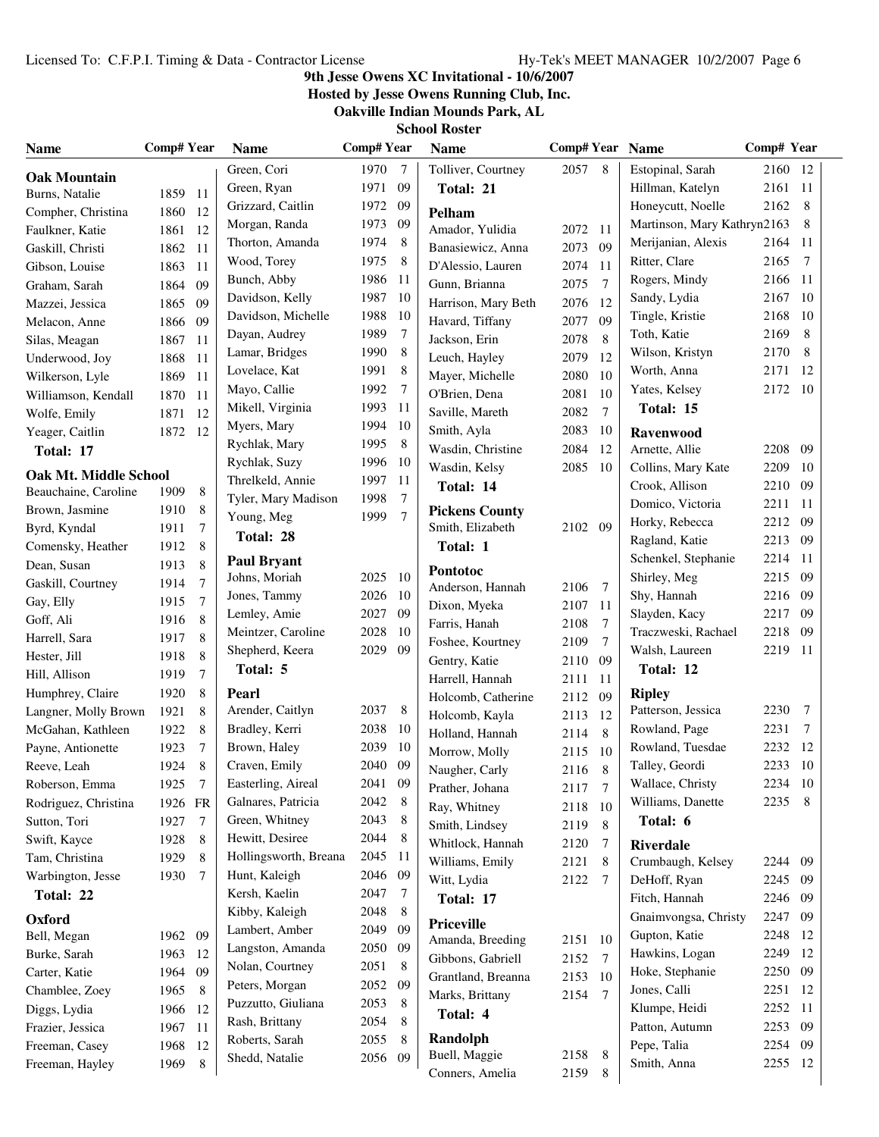# **9th Jesse Owens XC Invitational - 10/6/2007**

**Hosted by Jesse Owens Running Club, Inc.**

**Oakville Indian Mounds Park, AL**

| <b>Name</b>                               | Comp# Year   |                 | <b>Name</b>               | <b>Comp#Year</b> |                | <b>Name</b>                               | Comp# Year Name |                |                                     | Comp# Year |      |
|-------------------------------------------|--------------|-----------------|---------------------------|------------------|----------------|-------------------------------------------|-----------------|----------------|-------------------------------------|------------|------|
| <b>Oak Mountain</b>                       |              |                 | Green, Cori               | 1970             | $\overline{7}$ | Tolliver, Courtney                        | 2057            | 8              | Estopinal, Sarah                    | 2160 12    |      |
| Burns, Natalie                            | 1859 11      |                 | Green, Ryan               | 1971 09          |                | Total: 21                                 |                 |                | Hillman, Katelyn                    | 2161 11    |      |
| Compher, Christina                        | 1860         | - 12            | Grizzard, Caitlin         | 1972 09          |                | Pelham                                    |                 |                | Honeycutt, Noelle                   | 2162       | 8    |
| Faulkner, Katie                           | 1861 12      |                 | Morgan, Randa             | 1973 09          |                | Amador, Yulidia                           | 2072            | 11             | Martinson, Mary Kathryn2163         |            | 8    |
| Gaskill, Christi                          | 1862 11      |                 | Thorton, Amanda           | 1974 8           |                | Banasiewicz, Anna                         | 2073            | 09             | Merijanian, Alexis                  | 2164       | -11  |
| Gibson, Louise                            | 1863 11      |                 | Wood, Torey               | 1975             | - 8            | D'Alessio, Lauren                         | 2074            | 11             | Ritter, Clare                       | 2165       | 7    |
| Graham, Sarah                             | 1864         | 09              | Bunch, Abby               | 1986 11          |                | Gunn, Brianna                             | 2075            | $\overline{7}$ | Rogers, Mindy                       | 2166       | - 11 |
| Mazzei, Jessica                           | 1865         | 09              | Davidson, Kelly           | 1987 10          |                | Harrison, Mary Beth                       | 2076            | 12             | Sandy, Lydia                        | 2167       | -10  |
| Melacon, Anne                             | 1866 09      |                 | Davidson, Michelle        | 1988             | 10             | Havard, Tiffany                           | 2077            | 09             | Tingle, Kristie                     | 2168       | -10  |
| Silas, Meagan                             | 1867 11      |                 | Dayan, Audrey             | 1989             | 7              | Jackson, Erin                             | 2078            | 8              | Toth, Katie                         | 2169       | 8    |
| Underwood, Joy                            | 1868         | -11             | Lamar, Bridges            | 1990             | 8              | Leuch, Hayley                             | 2079            | 12             | Wilson, Kristyn                     | 2170       | 8    |
| Wilkerson, Lyle                           | 1869         | -11             | Lovelace, Kat             | 1991             | 8              | Mayer, Michelle                           | 2080            | 10             | Worth, Anna                         | 2171       | 12   |
| Williamson, Kendall                       | 1870 11      |                 | Mayo, Callie              | 1992             | -7             | O'Brien, Dena                             | 2081            | 10             | Yates, Kelsey                       | 2172 10    |      |
| Wolfe, Emily                              | 1871 12      |                 | Mikell, Virginia          | 1993             | - 11           | Saville, Mareth                           | 2082            | $\tau$         | Total: 15                           |            |      |
| Yeager, Caitlin                           | 1872         | -12             | Myers, Mary               | 1994 10          |                | Smith, Ayla                               | 2083            | 10             | <b>Ravenwood</b>                    |            |      |
| Total: 17                                 |              |                 | Rychlak, Mary             | 1995             | 8              | Wasdin, Christine                         | 2084            | 12             | Arnette, Allie                      | 2208       | - 09 |
|                                           |              |                 | Rychlak, Suzy             | 1996 10          |                | Wasdin, Kelsy                             | 2085            | 10             | Collins, Mary Kate                  | 2209       | -10  |
| Oak Mt. Middle School                     |              |                 | Threlkeld, Annie          | 1997             | -11            | Total: 14                                 |                 |                | Crook, Allison                      | 2210       | - 09 |
| Beauchaine, Caroline                      | 1909         | 8               | Tyler, Mary Madison       | 1998             | 7              |                                           |                 |                | Domico, Victoria                    | 2211       | -11  |
| Brown, Jasmine                            | 1910         | 8               | Young, Meg                | 1999             | $\overline{7}$ | <b>Pickens County</b><br>Smith, Elizabeth | 2102 09         |                | Horky, Rebecca                      | 2212       | -09  |
| Byrd, Kyndal                              | 1911         | 7<br>8          | Total: 28                 |                  |                | Total: 1                                  |                 |                | Ragland, Katie                      | 2213 09    |      |
| Comensky, Heather                         | 1912         | 8               | <b>Paul Bryant</b>        |                  |                |                                           |                 |                | Schenkel, Stephanie                 | 2214 11    |      |
| Dean, Susan                               | 1913         | $\overline{7}$  | Johns, Moriah             | 2025 10          |                | Pontotoc                                  |                 |                | Shirley, Meg                        | 2215 09    |      |
| Gaskill, Courtney<br>Gay, Elly            | 1914<br>1915 | $\overline{7}$  | Jones, Tammy              | 2026 10          |                | Anderson, Hannah                          | 2106            | 7              | Shy, Hannah                         | 2216 09    |      |
| Goff, Ali                                 | 1916         | 8               | Lemley, Amie              | 2027 09          |                | Dixon, Myeka                              | 2107            | 11             | Slayden, Kacy                       | 2217 09    |      |
|                                           |              | 8               | Meintzer, Caroline        | 2028 10          |                | Farris, Hanah                             | 2108            | 7              | Traczweski, Rachael                 | 2218       | - 09 |
| Harrell, Sara                             | 1917<br>1918 | 8               | Shepherd, Keera           | 2029 09          |                | Foshee, Kourtney                          | 2109            | 7              | Walsh, Laureen                      | 2219       | - 11 |
| Hester, Jill<br>Hill, Allison             | 1919         | $\tau$          | Total: 5                  |                  |                | Gentry, Katie                             | 2110            | 09             | Total: 12                           |            |      |
|                                           | 1920         | 8               |                           |                  |                | Harrell, Hannah                           | 2111            | 11             |                                     |            |      |
| Humphrey, Claire                          | 1921         | 8               | Pearl<br>Arender, Caitlyn | 2037 8           |                | Holcomb, Catherine                        | 2112            | 09             | <b>Ripley</b><br>Patterson, Jessica | 2230       | -7   |
| Langner, Molly Brown<br>McGahan, Kathleen | 1922         | 8               | Bradley, Kerri            | 2038             | - 10           | Holcomb, Kayla                            | 2113            | 12             | Rowland, Page                       | 2231       | 7    |
| Payne, Antionette                         | 1923         | 7               | Brown, Haley              | 2039             | 10             | Holland, Hannah                           | 2114            | 8              | Rowland, Tuesdae                    | 2232       | 12   |
| Reeve, Leah                               | 1924         | 8               | Craven, Emily             | 2040 09          |                | Morrow, Molly                             | 2115            | 10             | Talley, Geordi                      | 2233 10    |      |
| Roberson, Emma                            | 1925         | $7\phantom{.0}$ | Easterling, Aireal        | 2041 09          |                | Naugher, Carly                            | 2116            | 8              | Wallace, Christy                    | 2234 10    |      |
| Rodriguez, Christina                      | 1926 FR      |                 | Galnares, Patricia        | 2042 8           |                | Prather, Johana                           | 2117            | 7              | Williams, Danette                   | 2235       | -8   |
| Sutton, Tori                              | 1927         | 7               | Green, Whitney            | 2043 8           |                | Ray, Whitney                              | 2118            | 10             | Total: 6                            |            |      |
| Swift, Kayce                              | 1928         | 8               | Hewitt, Desiree           | 2044 8           |                | Smith, Lindsey                            | 2119            | 8              |                                     |            |      |
| Tam, Christina                            | 1929         | 8               | Hollingsworth, Breana     | 2045 11          |                | Whitlock, Hannah                          | 2120            | 7              | <b>Riverdale</b>                    |            |      |
| Warbington, Jesse                         | 1930         | 7               | Hunt, Kaleigh             | 2046 09          |                | Williams, Emily                           | 2121            | 8              | Crumbaugh, Kelsey                   | 2244 09    |      |
| Total: 22                                 |              |                 | Kersh, Kaelin             | 2047             | $\overline{7}$ | Witt, Lydia                               | 2122            | 7              | DeHoff, Ryan                        | 2245 09    |      |
|                                           |              |                 | Kibby, Kaleigh            | 2048             | 8              | Total: 17                                 |                 |                | Fitch, Hannah                       | 2246 09    |      |
| Oxford                                    |              |                 | Lambert, Amber            | 2049 09          |                | <b>Priceville</b>                         |                 |                | Gnaimvongsa, Christy                | 2247 09    |      |
| Bell, Megan                               | 1962 09      |                 | Langston, Amanda          | 2050 09          |                | Amanda, Breeding                          | 2151            | 10             | Gupton, Katie                       | 2248       | 12   |
| Burke, Sarah                              | 1963         | -12             | Nolan, Courtney           | 2051             | 8              | Gibbons, Gabriell                         | 2152            | 7              | Hawkins, Logan                      | 2249       | 12   |
| Carter, Katie                             | 1964 09      |                 | Peters, Morgan            | 2052 09          |                | Grantland, Breanna                        | 2153            | 10             | Hoke, Stephanie                     | 2250       | 09   |
| Chamblee, Zoey                            | 1965         | 8               | Puzzutto, Giuliana        | 2053             | 8              | Marks, Brittany                           | 2154            | 7              | Jones, Calli                        | 2251       | -12  |
| Diggs, Lydia                              | 1966         | 12              | Rash, Brittany            | 2054             | 8              | Total: 4                                  |                 |                | Klumpe, Heidi                       | 2252       | -11  |
| Frazier, Jessica                          | 1967         | -11             | Roberts, Sarah            | 2055             | 8              | Randolph                                  |                 |                | Patton, Autumn                      | 2253 09    |      |
| Freeman, Casey                            | 1968 12      |                 | Shedd, Natalie            | 2056             | 09             | Buell, Maggie                             | 2158            | 8              | Pepe, Talia                         | 2254 09    |      |
| Freeman, Hayley                           | 1969         | 8               |                           |                  |                | Conners, Amelia                           | 2159            | 8              | Smith, Anna                         | 2255 12    |      |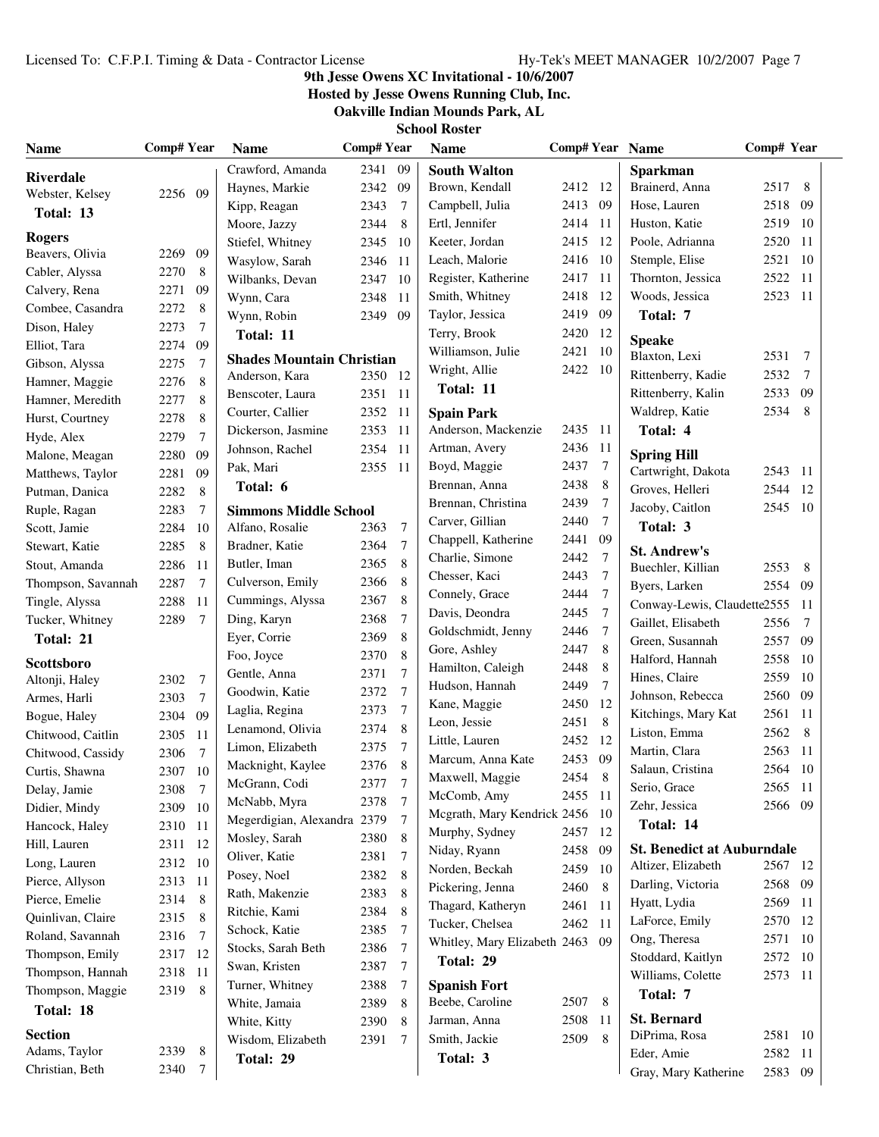# **9th Jesse Owens XC Invitational - 10/6/2007**

**Hosted by Jesse Owens Running Club, Inc.**

**Oakville Indian Mounds Park, AL School Roster**

|  |  | School Koster |  |  |  |
|--|--|---------------|--|--|--|
|  |  |               |  |  |  |

| <b>Name</b>        | <b>Comp# Year</b> |                 | <b>Name</b>                      | <b>Comp#Year</b> |                | <b>Name</b>                         |         |                | Comp# Year Name                   | Comp# Year |                 |
|--------------------|-------------------|-----------------|----------------------------------|------------------|----------------|-------------------------------------|---------|----------------|-----------------------------------|------------|-----------------|
| <b>Riverdale</b>   |                   |                 | Crawford, Amanda                 | 2341 09          |                | <b>South Walton</b>                 |         |                | <b>Sparkman</b>                   |            |                 |
| Webster, Kelsey    | 2256 09           |                 | Haynes, Markie                   | 2342 09          |                | Brown, Kendall                      | 2412 12 |                | Brainerd, Anna                    | 2517 8     |                 |
| Total: 13          |                   |                 | Kipp, Reagan                     | 2343             | 7              | Campbell, Julia                     | 2413    | 09             | Hose, Lauren                      | 2518 09    |                 |
|                    |                   |                 | Moore, Jazzy                     | 2344             | 8              | Ertl, Jennifer                      | 2414    | 11             | Huston, Katie                     | 2519       | - 10            |
| <b>Rogers</b>      |                   |                 | Stiefel, Whitney                 | 2345 10          |                | Keeter, Jordan                      | 2415    | 12             | Poole, Adrianna                   | 2520       | -11             |
| Beavers, Olivia    | 2269              | 09              | Wasylow, Sarah                   | 2346             | -11            | Leach, Malorie                      | 2416    | 10             | Stemple, Elise                    | 2521       | -10             |
| Cabler, Alyssa     | 2270              | 8               | Wilbanks, Devan                  | 2347 10          |                | Register, Katherine                 | 2417    | 11             | Thornton, Jessica                 | 2522       | -11             |
| Calvery, Rena      | 2271              | 09              | Wynn, Cara                       | 2348             | - 11           | Smith, Whitney                      | 2418    | 12             | Woods, Jessica                    | 2523 11    |                 |
| Combee, Casandra   | 2272              | 8               | Wynn, Robin                      | 2349 09          |                | Taylor, Jessica                     | 2419    | 09             | Total: 7                          |            |                 |
| Dison, Haley       | 2273              | $\overline{7}$  | Total: 11                        |                  |                | Terry, Brook                        | 2420    | 12             | <b>Speake</b>                     |            |                 |
| Elliot, Tara       | 2274              | 09              | <b>Shades Mountain Christian</b> |                  |                | Williamson, Julie                   | 2421    | 10             | Blaxton, Lexi                     | 2531       | $\overline{7}$  |
| Gibson, Alyssa     | 2275              | 7               | Anderson, Kara                   | 2350 12          |                | Wright, Allie                       | 2422    | -10            | Rittenberry, Kadie                | 2532       | $7\phantom{.0}$ |
| Hamner, Maggie     | 2276              | 8               | Benscoter, Laura                 | 2351 11          |                | Total: 11                           |         |                | Rittenberry, Kalin                | 2533 09    |                 |
| Hamner, Meredith   | 2277              | 8               | Courter, Callier                 | 2352 11          |                | <b>Spain Park</b>                   |         |                | Waldrep, Katie                    | 2534       | -8              |
| Hurst, Courtney    | 2278              | 8               | Dickerson, Jasmine               | 2353 11          |                | Anderson, Mackenzie                 | 2435    | -11            | Total: 4                          |            |                 |
| Hyde, Alex         | 2279              | $\overline{7}$  | Johnson, Rachel                  | 2354 11          |                | Artman, Avery                       | 2436    | 11             |                                   |            |                 |
| Malone, Meagan     | 2280              | 09              | Pak, Mari                        | 2355 11          |                | Boyd, Maggie                        | 2437    | $\tau$         | <b>Spring Hill</b>                |            |                 |
| Matthews, Taylor   | 2281              | 09              | Total: 6                         |                  |                | Brennan, Anna                       | 2438    | 8              | Cartwright, Dakota                | 2543 11    |                 |
| Putman, Danica     | 2282              | 8               |                                  |                  |                | Brennan, Christina                  | 2439    | 7              | Groves, Helleri                   | 2544 12    |                 |
| Ruple, Ragan       | 2283              | 7               | <b>Simmons Middle School</b>     |                  |                | Carver, Gillian                     | 2440    | 7              | Jacoby, Caitlon                   | 2545 10    |                 |
| Scott, Jamie       | 2284              | 10              | Alfano, Rosalie                  | 2363             | $\tau$         | Chappell, Katherine                 | 2441    | 09             | Total: 3                          |            |                 |
| Stewart, Katie     | 2285              | 8               | Bradner, Katie                   | 2364             | $\tau$         | Charlie, Simone                     | 2442    | $\tau$         | <b>St. Andrew's</b>               |            |                 |
| Stout, Amanda      | 2286              | 11              | Butler, Iman                     | 2365             | 8              | Chesser, Kaci                       | 2443    | $\tau$         | Buechler, Killian                 | 2553       | 8               |
| Thompson, Savannah | 2287              | $7\phantom{.0}$ | Culverson, Emily                 | 2366             | 8              | Connely, Grace                      | 2444    | $\overline{7}$ | Byers, Larken                     | 2554 09    |                 |
| Tingle, Alyssa     | 2288              | 11              | Cummings, Alyssa                 | 2367             | 8              | Davis, Deondra                      | 2445    | $\overline{7}$ | Conway-Lewis, Claudette2555       |            | - 11            |
| Tucker, Whitney    | 2289              | $\overline{7}$  | Ding, Karyn                      | 2368             | $\overline{7}$ | Goldschmidt, Jenny                  | 2446    | 7              | Gaillet, Elisabeth                | 2556       | 7               |
| Total: 21          |                   |                 | Eyer, Corrie                     | 2369             | 8              | Gore, Ashley                        | 2447    | 8              | Green, Susannah                   | 2557 09    |                 |
| <b>Scottsboro</b>  |                   |                 | Foo, Joyce                       | 2370             | 8              | Hamilton, Caleigh                   | 2448    | 8              | Halford, Hannah                   | 2558       | - 10            |
| Altonji, Haley     | 2302              | $7\phantom{.0}$ | Gentle, Anna                     | 2371             | 7              | Hudson, Hannah                      | 2449    | $\overline{7}$ | Hines, Claire                     | 2559       | -10             |
| Armes, Harli       | 2303              | $\tau$          | Goodwin, Katie                   | 2372             | $\overline{7}$ | Kane, Maggie                        | 2450    | 12             | Johnson, Rebecca                  | 2560       | - 09            |
| Bogue, Haley       | 2304              | 09              | Laglia, Regina                   | 2373             | 7              | Leon, Jessie                        | 2451    | 8              | Kitchings, Mary Kat               | 2561       | -11             |
| Chitwood, Caitlin  | 2305              | -11             | Lenamond, Olivia                 | 2374             | 8              |                                     |         | 12             | Liston, Emma                      | 2562       | 8               |
| Chitwood, Cassidy  | 2306              | $\overline{7}$  | Limon, Elizabeth                 | 2375             | $\overline{7}$ | Little, Lauren<br>Marcum, Anna Kate | 2452    | 09             | Martin, Clara                     | 2563       | -11             |
| Curtis, Shawna     | 2307              | 10              | Macknight, Kaylee                | 2376             | 8              |                                     | 2453    | 8              | Salaun, Cristina                  | 2564 10    |                 |
| Delay, Jamie       | 2308              | $\overline{7}$  | McGrann, Codi                    | 2377             |                | Maxwell, Maggie                     | 2454    |                | Serio, Grace                      | 2565 11    |                 |
| Didier, Mindy      | 2309 10           |                 | McNabb, Myra                     | 2378             | $\overline{7}$ | McComb, Amy                         | 2455 11 |                | Zehr, Jessica                     | 2566 09    |                 |
| Hancock, Haley     | 2310 11           |                 | Megerdigian, Alexandra 2379      |                  | 7              | Mcgrath, Mary Kendrick 2456         |         | - 10           | Total: 14                         |            |                 |
| Hill, Lauren       | 2311 12           |                 | Mosley, Sarah                    | 2380             | 8              | Murphy, Sydney                      | 2457    | 12             | <b>St. Benedict at Auburndale</b> |            |                 |
| Long, Lauren       | 2312 10           |                 | Oliver, Katie                    | 2381             | 7              | Niday, Ryann                        | 2458    | -09            | Altizer, Elizabeth                | 2567 12    |                 |
| Pierce, Allyson    | 2313 11           |                 | Posey, Noel                      | 2382             | 8              | Norden, Beckah                      | 2459    | 10             | Darling, Victoria                 | 2568 09    |                 |
| Pierce, Emelie     | 2314              | 8               | Rath, Makenzie                   | 2383             | 8              | Pickering, Jenna                    | 2460    | 8              | Hyatt, Lydia                      | 2569 11    |                 |
| Quinlivan, Claire  | 2315              | 8               | Ritchie, Kami                    | 2384             | 8              | Thagard, Katheryn                   | 2461    | 11             | LaForce, Emily                    | 2570       | -12             |
| Roland, Savannah   | 2316              | 7               | Schock, Katie                    | 2385             | $\tau$         | Tucker, Chelsea                     | 2462    | 11             | Ong, Theresa                      | 2571       | 10              |
| Thompson, Emily    | 2317 12           |                 | Stocks, Sarah Beth               | 2386             | $\tau$         | Whitley, Mary Elizabeth 2463        |         | 09             | Stoddard, Kaitlyn                 | 2572       | - 10            |
| Thompson, Hannah   | 2318 11           |                 | Swan, Kristen                    | 2387             | $\overline{7}$ | Total: 29                           |         |                | Williams, Colette                 | 2573 11    |                 |
| Thompson, Maggie   | 2319              | -8              | Turner, Whitney                  | 2388             | 7              | <b>Spanish Fort</b>                 |         |                |                                   |            |                 |
| Total: 18          |                   |                 | White, Jamaia                    | 2389             | 8              | Beebe, Caroline                     | 2507    | 8              | Total: 7                          |            |                 |
|                    |                   |                 | White, Kitty                     | 2390             | 8              | Jarman, Anna                        | 2508    | 11             | <b>St. Bernard</b>                |            |                 |
| <b>Section</b>     |                   |                 | Wisdom, Elizabeth                | 2391             | 7              | Smith, Jackie                       | 2509    | 8              | DiPrima, Rosa                     | 2581 10    |                 |
| Adams, Taylor      | 2339              | 8               | Total: 29                        |                  |                | Total: 3                            |         |                | Eder, Amie                        | 2582 11    |                 |
| Christian, Beth    | 2340              | 7               |                                  |                  |                |                                     |         |                | Gray, Mary Katherine              | 2583 09    |                 |